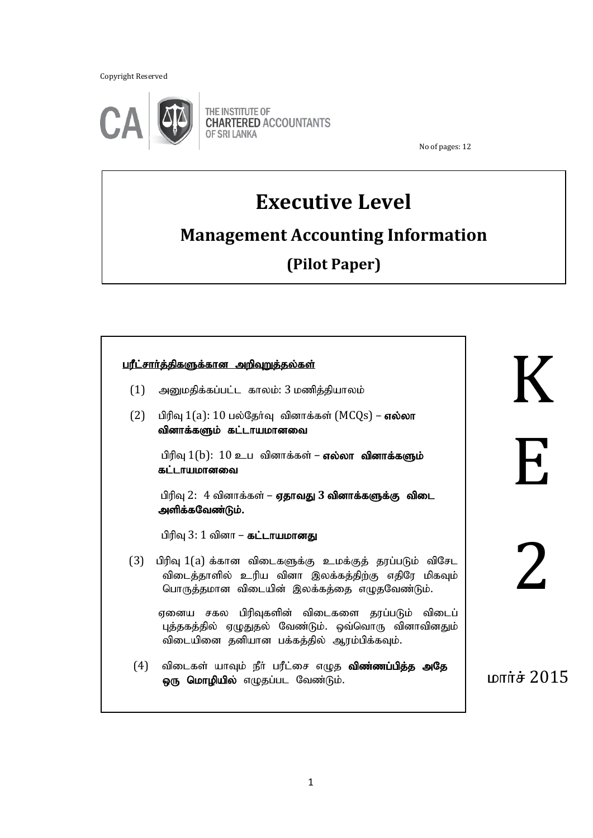Copyright Reserved

֖֖֖֖֖֚֚֚֚֚֚֬



THE INSTITUTE OF **CHARTERED ACCOUNTANTS OF SRI LANKA** 

No of pages: 12

## **Executive Level**

# **Management Accounting Information**

**(Pilot Paper)**

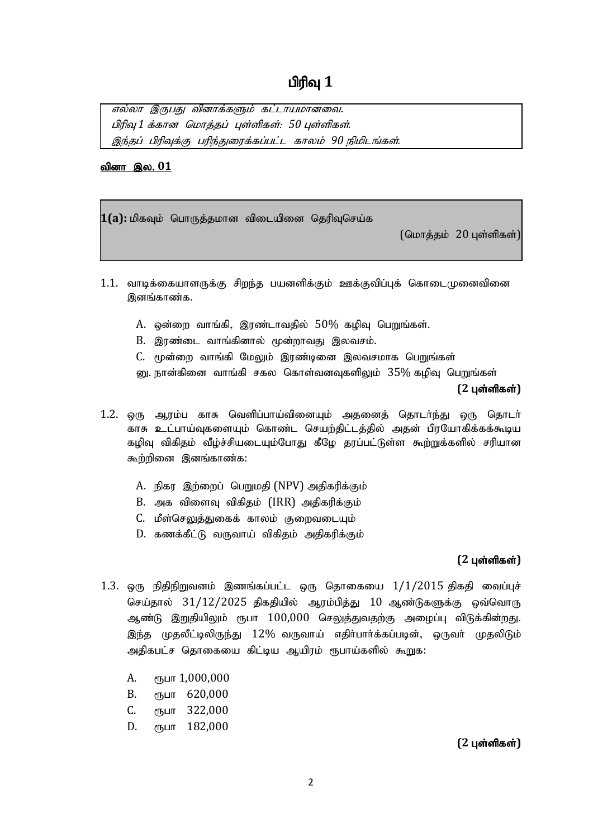எல்லா இருபது வினாக்களும் கட்டாயமானவை. பிரிவு 1 க்கான மொத்தப் புள்ளிகள்: 50 புள்ளிகள். இந்தப் பிரிவுக்கு பரிந்துரைக்கப்பட்ட காலம் 90 நிமிடங்கள்.

#### <u>வினா இல. 01</u>

1(a): மிகவும் பொருத்தமான விடையினை தெரிவுசெய்க

 $(G \cup \overline{G} \cup \overline{G} \cup \overline{G} \cup \overline{G} \cup \overline{G} \cup \overline{G} \cup \overline{G} \cup \overline{G} \cup \overline{G} \cup \overline{G} \cup \overline{G} \cup \overline{G} \cup \overline{G} \cup \overline{G} \cup \overline{G} \cup \overline{G} \cup \overline{G} \cup \overline{G} \cup \overline{G} \cup \overline{G} \cup \overline{G} \cup \overline{G} \cup \overline{G} \cup \overline{G} \cup \overline{G} \cup \overline{G} \cup \overline{G} \cup$ 

- 1.1. வாடிக்கையாளருக்கு சிறந்த பயனளிக்கும் ஊக்குவிப்புக் கொடைமுனைவினை இனங்காண்க.
	- $A$ . ஒன்றை வாங்கி, இரண்டாவதில்  $50\%$  கழிவு பெறுங்கள்.
	- B. இரண்டை வாங்கினால் மூன்றாவது இலவசம்.
	- C. மூன்றை வாங்கி மேலும் இரண்டினை இலவசமாக பெறுங்கள்
	- னு. நான்கினை வாங்கி சகல கொள்வனவுகளிலும்  $35\%$  கழிவு பெறுங்கள்

#### $(2 \text{ L} \cdot \hat{\text{S}})$

- 1.2. ஒரு ஆரம்ப காசு வெளிப்பாய்வினையும் அதனைத் தொடர்ந்து ஒரு தொடர் காசு உட்பாய்வுகளையும் கொண்ட செயற்திட்டத்தில் அதன் பிரயோகிக்கக்கூடிய கழிவு விகிதம் வீழ்ச்சியடையும்போது கீழே தரப்பட்டுள்ள கூற்றுக்களில் சரியான கூற்றினை இனங்காண்க:
	- A. நிகர இற்றைப் பெறுமதி (NPV) அதிகரிக்கும்
	- B. அக விளைவு விகிதம் (IRR) அதிகரிக்கும்
	- C. மீள்செலுத்துகைக் காலம் குறைவடையும்
	- D. கணக்கீட்டு வருவாய் விகிதம் அதிகரிக்கும்

#### $(2 \text{ } \mu \text{sin} \text{sin} \text{sin})$

- 1.3. ஒரு நிதிநிறுவனம் இணங்கப்பட்ட ஒரு தொகையை  $1/1/2015$  திகதி வைப்புச் செய்தால்  $31/12/2025$  திகதியில் ஆரம்பித்து  $10$  ஆண்டுகளுக்கு ஒவ்வொரு ஆண்டு இறுதியிலும் ரூபா  $100,000$  செலுத்துவதற்கு அழைப்பு விடுக்கின்றது. இந்த முதலீட்டிலிருந்து  $12\%$  வருவாய் எதிா்பாா்க்கப்படின், ஒருவா் முதலிடும் அதிகபட்ச கொகையை கிட்டிய ஆயிாம் ரூபாய்களில் கூறுக;
	- A.  $\epsilon$ ҧபா 1,000,000
	- **В.** сънг 620,000
	- C. *с*ънг 322,000
	- D. *е*љшт 182,000

#### $(2 \text{ L} \cdot \hat{\text{S}})$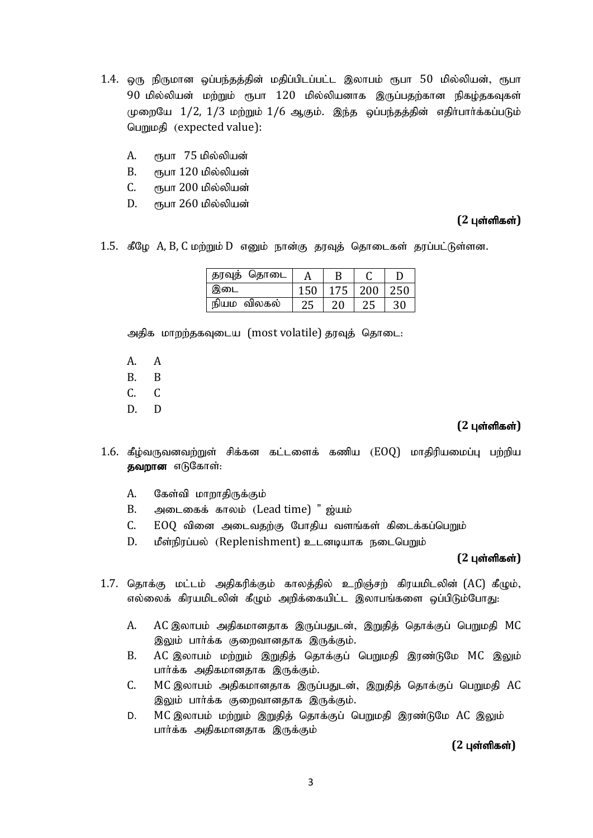- 1.4. ஒரு நிருமான ஒப்பந்தத்தின் மதிப்பிடப்பட்ட இலாபம் ரூபா 50 மில்லியன், ரூபா  $90$  மில்லியன் மற்றும் ரூபா  $120$  மில்லியனாக இருப்பதற்கான நிகழ்தகவுகள்  $(\mu$ றையே  $1/2$ ,  $1/3$  மற்றும்  $1/6$  ஆகும். இந்த ஒப்பந்தத்தின் எதிர்பார்க்கப்படும் பெறுமதி (expected value):
	- A. ரூபா 75 மில்லியன்
	- $B.$  ரூபா  $120$  மில்லியன்
	- C. ரூபா 200 மில்லியன்
	- $D.$   $\epsilon$ ருபா 260 மில்லியன்

#### **(2 புள்ளிகள்)**

 $1.5.$  கீழே  $A$ ,  $B$ ,  $C$  மற்றும்  $D$  எனும் நான்கு தரவுத் தொடைகள் தரப்பட்டுள்ளன.

| தரவுத் தொடை |    |     |  |
|-------------|----|-----|--|
| இடை         |    | 200 |  |
| நியம விலகல் | 20 |     |  |

அதிக மாறற்தகவுடைய (most volatile) தரவுத் தொடை:

- A. A
- B. B
- C. C
- D. D

#### $(2 \text{ } \mu \text{sin} \text{sin} \text{sin})$

- $1.6$ . கீழ்வருவனவற்றுள் சிக்கன கட்டளைக் கணிய  $(EOQ)$  மாதிரியமைப்பு பற்றிய தவறான எடுகோள்:
	- A. கேள்வி மாறாதிருக்கும்
	- B. அடைகைக் காலம் (Lead time) " ஜ்யம்
	- $C.$   $EOO$  வினை அடைவதற்கு போதிய வளங்கள் கிடைக்கப்பெறும்
	- $D.$  மீள்நிரப்பல் (Replenishment) உடனடியாக நடைபெறும்

#### $(2 \text{ L} \cdot \text{C})$

- $1.7.$  தொக்கு மட்டம் அதிகரிக்கும் காலத்தில் உறிஞ்சற் கிரயமிடலின் (AC) கீழும், எல்லைக் கிரயமிடலின் கீழும் அறிக்கையிட்ட இலாபங்களை ஒப்பிடும்போது:
	- A. AC இலாபம் அதிகமானதாக இருப்பதுடன், இறுதித் தொக்குப் பெறுமதி MC இலும் பார்க்க குறைவானதாக இருக்கும்.
	- B. AC இலாபம் மற்றும் இறுதித் தொக்குப் பெறுமதி இரண்டுமே MC இலும் பார்க்க அதிகமானதாக இருக்கும்.
	- C. MC இலாபம் அதிகமானதாக இருப்பதுடன், இறுதித் தொக்குப் பெறுமதி AC இலும் பார்க்க குறைவானதாக இருக்கும்.
	- D. MC இலாபம் மற்றும் இறுதித் தொக்குப் பெறுமதி இரண்டுமே AC இலும் பார்க்க அதிகமானதாக இருக்கும்

 $(2 \text{ L} \cdot \hat{\text{S}})$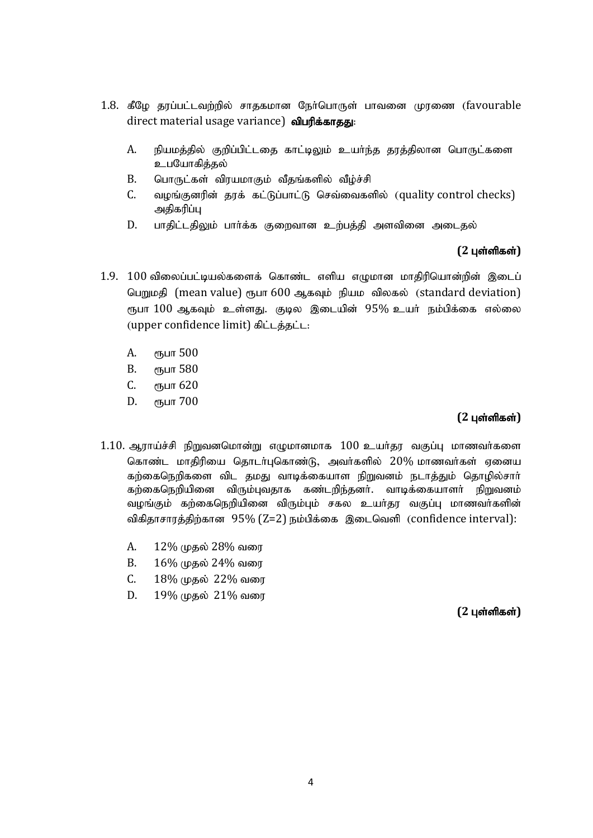- 1.8. கீழே தரப்பட்டவற்றில் சாதகமான நேர்பொருள் பாவனை முரணை (favourable direct material usage variance) விபரிக்காதது:
	- A. நியமத்தில் குறிப்பிட்டதை காட்டிலும் உயர்ந்த தரத்திலான பொருட்களை உபயோகித்தல்
	- B. பொருட்கள் விரயமாகும் வீதங்களில் வீழ்ச்சி
	- C. வழங்குனரின் தரக் கட்டுப்பாட்டு செவ்வைகளில் (quality control checks) அதிகரிப்பு
	- D. பாதிட்டதிலும் பார்க்க குறைவான உற்பத்தி அளவினை அடைதல்

#### $(2 \text{ L} \cdot \hat{\text{S}})$

- 1.9.  $100$  விலைப்பட்டியல்களைக் கொண்ட எளிய எழுமான மாதிரியொன்றின் இடைப் பெறுமதி (mean value) ரூபா 600 ஆகவும் நியம விலகல் (standard deviation) ரூபா  $100$  ஆகவும் உள்ளது. குடில இடையின்  $95\%$  உயர் நம்பிக்கை எல்லை (upper confidence limit) கிட்டத்தட்ட:
	- A. (Б<sub>ил</sub> 500
	- **В.** (ГЪЦП 580
	- C. спут 620
	- D. eҧuп 700

#### $(2 \text{ L} \cdot \hat{\text{S}})$

- $1.10$ . ஆராய்ச்சி நிறுவனமொன்று எழுமானமாக  $100$  உயர்தர வகுப்பு மாணவர்களை கொண்ட மாதிரியை தொடர்புகொண்டு, அவர்களில் 20% மாணவர்கள் ஏனைய கற்கைநெறிகளை விட தமது வாடிக்கையாள நிறுவனம் நடாத்தும் தொழில்சாா் கற்கைநெறியினை விரும்புவதாக கண்டறிந்தனர். வாடிக்கையாளர் நிறுவனம் வழங்கும் கற்கைநெறியினை விரும்பும் சகல உயர்தர வகுப்பு மாணவர்களின் விகிதாசாரத்திற்கான  $95\%$  (Z=2) நம்பிக்கை இடைவெளி (confidence interval):
	- A. 12% முதல் 28% வரை
	- $B. 16\%$  முதல் 24% வரை
	- $C.$  18% முதல் 22% வரை
	- $D. 19\%$  முதல்  $21\%$  வரை

#### $(2 \text{ L} \cdot \hat{\text{S}})$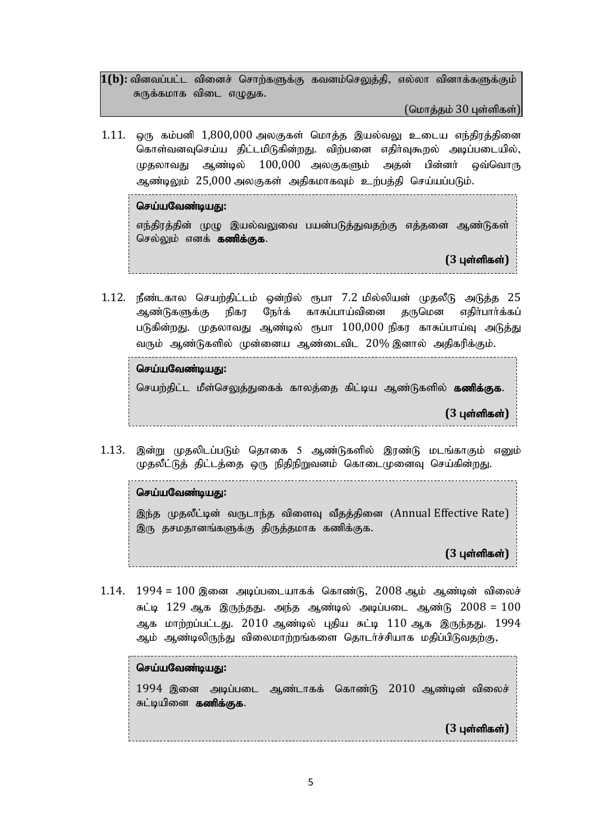1(b): வினவப்பட்ட வினைச் சொற்களுக்கு கவனம்செலுத்தி, எல்லா வினாக்களுக்கும் சுருக்கமாக விடை எழுதுக.

(மொத்தம்  $30$  புள்ளிகள்)

 $1.11.$  ஒரு கம்பனி  $1,800,000$  அலகுகள் மொத்த இயல்வலு உடைய எந்திரத்தினை கொள்வனவுசெய்ய திட்டமிடுகின்றது. விற்பனை எதிர்வுகூறல் அடிப்படையில்,  $\mu$ தலாவது ஆண்டில்  $100{,}000$  அலகுகளும் அதன் பின்னர் ஒவ்வொரு ஆண்டிலும் 25,000 அலகுகள் அதிகமாகவும் உற்பத்தி செய்யப்படும்.

செய்யவேண்டியது:

எந்திரத்தின் முமு இயல்வலுவை பயன்படுத்துவதற்கு எத்தனை ஆண்டுகள் செல்லும் எனக் **கணிக்குக.** 

 $(3 \text{ u}$ ள்ளிகள்)

 $1.12$ . நீண்டகால செயற்திட்டம் ஒன்றில் ரூபா  $7.2$  மில்லியன் முதலீடு அடுத்த  $25$ ஆண்டுகளுக்கு நிகர நேர்க் காசுப்பாய்வினை கருமென எகிர்பார்க்கப் படுகின்றது. முதலாவது ஆண்டில் ரூபா  $100{,}000$  நிகர காசுப்பாய்வு அடுத்து வரும் ஆண்டுகளில் முன்னைய ஆண்டைவிட 20% இனால் அகிகரிக்கும்.

#### செய்யவேண்டிய**து**:

செயற்திட்ட மீள்செலுத்துகைக் காலத்தை கிட்டிய ஆண்டுகளில் **கணிக்குக.** 

**(3 புள்ளிகள்)** 

1.13. இன்று முதலிடப்படும் தொகை 5 ஆண்டுகளில் இரண்டு மடங்காகும் எனும் முதலீட்டுத் திட்டத்தை ஒரு நிதிநிறுவனம் கொடைமுனைவு செய்கின்றது.

#### செய்யவேண்டியது:

இந்த முதலீட்டின் வருடாந்த விளைவு வீதத்தினை (Annual Effective Rate) இரு தசமதானங்களுக்கு திருத்தமாக கணிக்குக.

**(3 புள்ளிகள்)** 

 $1.14.$   $1994 = 100$  இனை அடிப்படையாகக் கொண்டு,  $2008$  ஆம் ஆண்டின் விலைச் சுட்டி  $129$  ஆக இருந்தது. அந்த ஆண்டில் அடிப்படை ஆண்டு  $2008 = 100$ ஆக மாற்றப்பட்டது. 2010 ஆண்டில் புதிய சுட்டி 110 ஆக இருந்தது. 1994 ஆம் ஆண்டிலிருந்து விலைமாற்றங்களை தொடர்ச்சியாக மதிப்பிடுவதற்கு,

#### செய்யவேண்டியது:

 $1994$  இனை அடிப்படை ஆண்டாகக் கொண்டு  $2010$  ஆண்டின் விலைச் சுட்டியினை **கணிக்குக.** 

**(3 புள்ளிகள்)**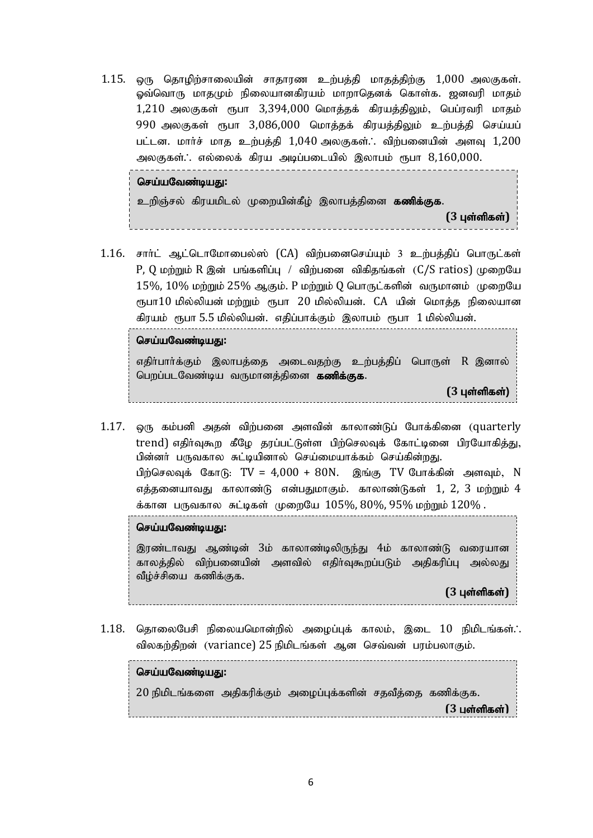1.15. ஒரு தொழிற்சாலையின் சாதாரண உற்பத்தி மாதத்திற்கு 1,000 அலகுகள். லு்வொரு மாதமும் நிலையானகிரயம் மாறாதெனக் கொள்க. ஜனவரி மாதம்  $1,210$  அலகுகள் ரூபா  $3,394,000$  மொத்தக் கிரயத்திலும், பெப்ரவரி மாதம்  $990$  அலகுகள் ரூபா  $3,086,000$  மொத்தக் கிரயத்திலும் உற்பத்தி செய்யப் பட்டன. மார்ச் மாத உற்பத்தி  $1,040$  அலகுகள்.. விற்பனையின் அளவு  $1,200$ அலகுகள். .எல்லைக் கிரய அடிப்படையில் இலாபம் ரூபா  $8,160,000$ .

#### செய்யவேண்டியது:

உறிஞ்சல் கிரயமிடல் முறையின்கீழ் இலாபத்தினை **கணிக்குக.** 

**(3 புள்ளிகள்)** 

 $1.16$ . சாா்ட் ஆட்டொமோபைல்ஸ்  $(CA)$  விற்பனைசெய்யும் 3 உற்பத்திப் பொருட்கள்  $P$ , Q மற்றும் R இன் பங்களிப்பு / விற்பனை விகிதங்கள்  $(C/S$  ratios) முறையே  $15\%$ ,  $10\%$  மற்றும்  $25\%$  ஆகும். P மற்றும் Q பொருட்களின் வருமானம் முறையே  $\epsilon$ நபா $10$  மில்லியன் மற்றும்  $\epsilon$ நபா  $20$  மில்லியன்.  $\rm CA$  யின் மொத்த நிலையான கிரயம் ரூபா 5.5 மில்லியன். எதிப்பாக்கும் இலாபம் ரூபா 1 மில்லியன்.

#### செய்யவேண்டிய**து**:

எதிா்பாா்க்கும் இலாபத்தை அடைவதற்கு உற்பத்திப் பொருள்  $R$  இனால் பெறப்படவேண்டிய வருமானத்தினை **கணிக்குக.** 

- $(3 \text{ L} \cdot \hat{\text{S}})$
- $1.17.$  ஒரு கம்பனி அதன் விற்பனை அளவின் காலாண்டுப் போக்கினை (quarterly trend) எதிர்வுகூற கீழே தரப்பட்டுள்ள பிற்செலவுக் கோட்டினை பிரயோகித்து, பின்னர் பருவகால சுட்டியினால் செய்மையாக்கம் செய்கின்றது. பண்... பகுவமால் கட்டிட்ணால் கேங்க்கப்பிக்கம் கேங்க்கத்து.<br>பிற்செலவுக் கோடு: TV = 4,000 + 80N. இங்கு TV போக்கின் அளவும், N எக்கனையாவது காலாண்டு என்பதுமாகும். காலாண்டுகள்  $1, 2, 3$  மற்றும்  $4$ க்கான பருவகால சுட்டிகள் முறையே  $105\%$ ,  $80\%$ ,  $95\%$  மற்றும்  $120\%$  .

#### செய்யவேண்டியது:

இரண்டாவது ஆண்டின் 3ம் காலாண்டிலிருந்து 4ம் காலாண்டு வரையான காலத்தில் விற்பனையின் அளவில் எதிர்வுகூறப்படும் அதிகரிப்பு அல்லது வீழ்ச்சியை கணிக்குக.

#### **(3 புள்ளிகள்)**

 $1.18$ . தொலைபேசி நிலையமொன்றில் அழைப்புக் காலம், இடை  $10$  நிமிடங்கள்.. விலகற்திறன் (variance) 25 நிமிடங்கள் ஆன செவ்வன் பரம்பலாகும்.

செய்யவேண்டியது:

 $20$  நிமிடங்களை அகிகரிக்கும் அமைப்பக்களின் சகவீக்கை கணிக்குக.  $(3 \text{ L} \cdot \hat{\mathsf{G}} \cdot \hat{\mathsf{G}} \cdot \hat{\mathsf{G}} \cdot \hat{\mathsf{G}} \cdot \hat{\mathsf{G}} \cdot \hat{\mathsf{G}} \cdot \hat{\mathsf{G}} \cdot \hat{\mathsf{G}} \cdot \hat{\mathsf{G}} \cdot \hat{\mathsf{G}} \cdot \hat{\mathsf{G}} \cdot \hat{\mathsf{G}} \cdot \hat{\mathsf{G}} \cdot \hat{\mathsf{G}} \cdot \hat{\mathsf{G}} \cdot \hat{\mathsf{G}} \cdot \hat{\mathsf{G}} \cdot \hat{\mathsf{G}} \cdot \hat{\mathsf{G}} \cdot \hat{\mathsf{G}} \cdot \hat{\mathsf{G}} \cdot \$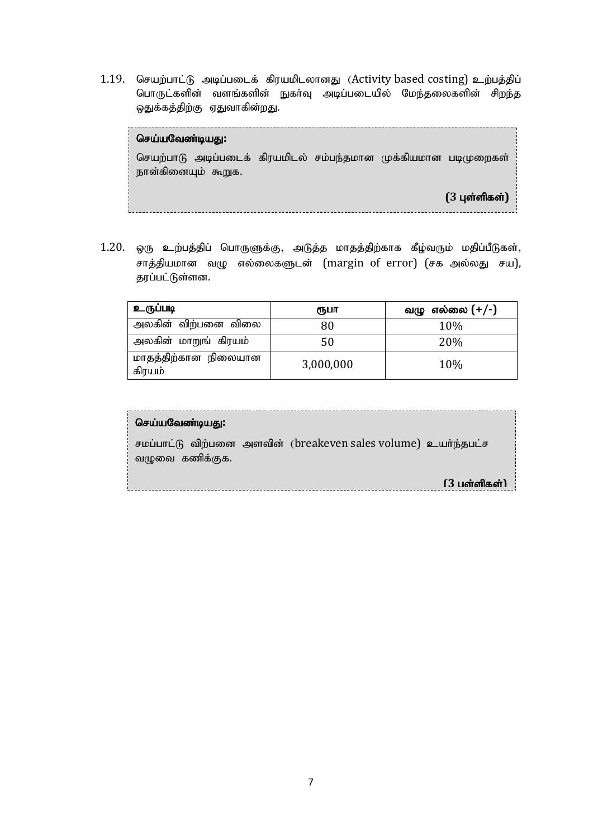1.19. செயற்பாட்டு அடிப்படைக் கிரயமிடலானது (Activity based costing) உற்பத்திப் பொருட்களின் வளங்களின் நுகர்வு அடிப்படையில் மேந்தலைகளின் சிறந்த ஒதுக்கத்திற்கு ஏதுவாகின்றது.

செய்யவேண்டியது: செயற்பாடு அடிப்படைக் கிரயமிடல் சம்பந்தமான முக்கியமான படிமுறைகள் நான்கினையும் கூறுக.  $(3 \text{ L} \cdot \hat{\text{S}})$ 

 $1.20$ . ஒரு உற்பத்திப் பொருளுக்கு, அடுத்த மாதத்திற்காக கீழ்வரும் மதிப்பீடுகள், சாத்தியமான வழு எல்லைகளுடன் (margin of error) (சக அல்லது சய), தரப்பட்டுள்ளன.

| உருப்படி                       | ரூபா      | வழு எல்லை $(+/-)$ |
|--------------------------------|-----------|-------------------|
| அலகின் விற்பனை விலை            | 80        | 10%               |
| அலகின் மாறுங் கிரயம்           | 50        | 20%               |
| மாதத்திற்கான நிலையான<br>கிரயம் | 3,000,000 | 10%               |

| செய்யவேண்டியது:                                                                   |                    |
|-----------------------------------------------------------------------------------|--------------------|
| சமப்பாட்டு விற்பனை அளவின் (breakeven sales volume) உயர்ந்தபட்ச<br>வழுவை கணிக்குக. |                    |
|                                                                                   | $(3)$ பள்ளிகள் $)$ |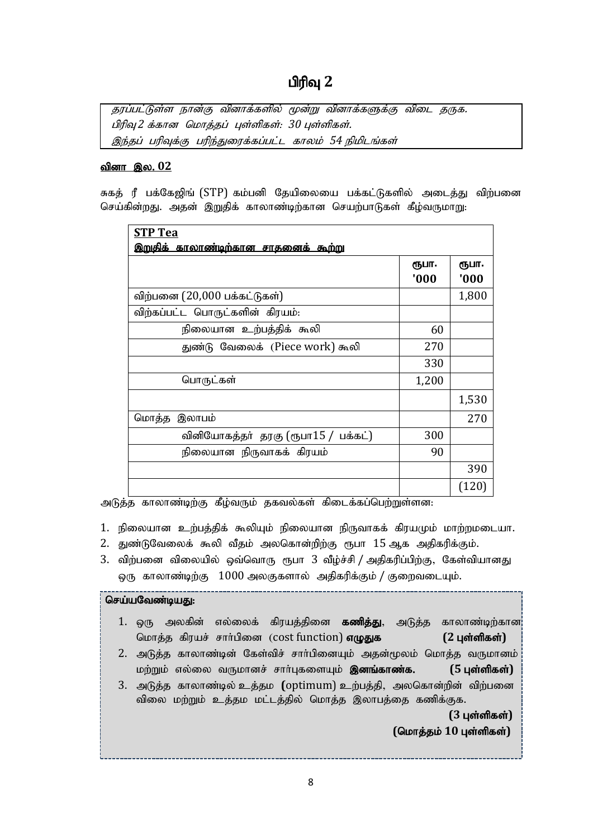#### பிரிவு 2

தரப்பட்டுள்ள நான்கு வினாக்களில் மூன்று வினாக்களுக்கு விடை தருக. பிரிவு 2 க்கான மொத்தப் புள்ளிகள்: 30 புள்ளிகள். இந்தப் பரிவுக்கு பரிந்துரைக்கப்பட்ட காலம் 54 நிமிடங்கள்

#### <u>வினா இல. 02</u>

சுகத் ரீ பக்கேஜிங் (STP) கம்பனி தேயிலையை பக்கட்டுகளில் அடைத்து விற்பனை செய்கின்றது. அதன் இறுதிக் காலாண்டிற்கான செயற்பாடுகள் கீழ்வருமாறு:

| <b>STP Tea</b>                              |       |       |
|---------------------------------------------|-------|-------|
| <u>இறுதிக் காலாண்டிற்கான சாதனைக் கூற்று</u> |       |       |
|                                             | ரூபா. | ரூபா. |
|                                             | '000  | '000  |
| விற்பனை (20,000 பக்கட்டுகள்)                |       | 1,800 |
| விற்கப்பட்ட பொருட்களின் கிரயம்:             |       |       |
| நிலையான உற்பத்திக் கூலி                     | 60    |       |
| துண்டு வேலைக் (Piece work) கூலி             | 270   |       |
|                                             | 330   |       |
| பொருட்கள்                                   | 1,200 |       |
|                                             |       | 1,530 |
| மொத்த இலாபம்                                |       | 270   |
| வினியோகத்தா் தரகு (ரூபா15 / பக்கட்)         | 300   |       |
| நிலையான நிருவாகக் கிரயம்                    | 90    |       |
|                                             |       | 390   |
|                                             |       | (120) |

அடுத்த காலாண்டிற்கு கீழ்வரும் தகவல்கள் கிடைக்கப்பெற்றுள்ளன:

- 1. நிலையான உற்பத்திக் கூலியும் நிலையான நிருவாகக் கிரயமும் மாற்றமடையா.
- 2. துண்டுவேலைக் கூலி வீதம் அலகொன்றிற்கு ரூபா 15ஆக அதிகரிக்கும்.
- 3. விற்பனை விலையில் ஒவ்வொரு ரூபா 3 வீழ்ச்சி / அதிகரிப்பிற்கு, கேள்வியானது லரு காலாண்டிற்கு  $1000$  அலகுகளால் அதிகரிக்கும் / குறைவடையும்.

#### செய்யவேண்டியது:

- 1. ஒரு அலகின் எல்லைக் கிரயத்தினை **கணித்து**, அடுத்த காலாண்டிற்கான¦ மொத்த கிரயச் சார்பினை (cost function) **எழுதுக** (2 புள்ளிகள்)
- 2. அடுத்த காலாண்டின் கேள்விச் சாா்பினையும் அதன்மூலம் மொத்த வருமானம் மற்றும் எல்லை வருமானச் சார்புகளையும் **இனங்காண்க. (5 புள்ளிகள்)**
- 3. அடுத்த காலாண்டில் உத்தம (optimum) உற்பத்தி, அலகொன்றின் விற்பனை விலை மற்றும் உத்தம மட்டத்தில் மொத்த இலாபத்தை கணிக்குக.

**(3 புள்ளிகள்)**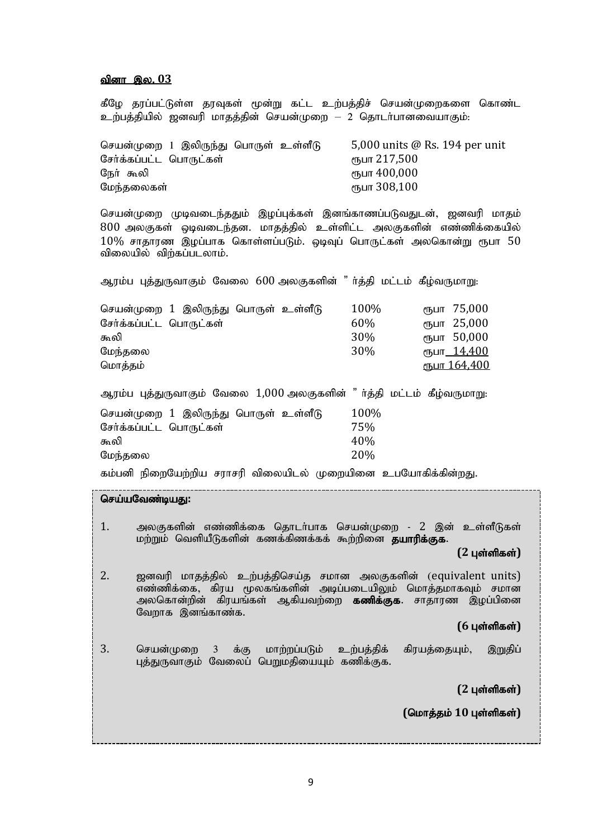#### <u>வினா இல. 03</u>

கீழே தரப்பட்டுள்ள தரவுகள் மூன்று கட்ட உற்பத்திச் செயன்முறைகளை கொண்ட உற்பத்தியில் ஜனவரி மாதத்தின் செயன்முறை — 2 தொடர்பானவையாகும்:

| செயன்முறை 1 இலிருந்து பொருள் உள்ளீடு | 5,000 units $\omega$ Rs. 194 per unit |
|--------------------------------------|---------------------------------------|
| சேர்க்கப்பட்ட பொருட்கள்              | ரூபா 217,500                          |
| நேர் கூலி                            | ரூபா 400,000                          |
| மேந்தலைகள்                           | ரூபா 308,100                          |

செயன்முறை முடிவடைந்ததும் இழப்புக்கள் இனங்காணப்படுவதுடன், ஜனவரி மாதம் 800 அலகுகள் ஒடிவடைந்தன. மாதத்தில் உள்ளிட்ட அலகுகளின் எண்ணிக்கையில்  $10\%$  சாதாரண இழப்பாக கொள்ளப்படும். ஒடிவுப் பொருட்கள் அலகொன்று ரூபா  $50$ விலையில் விற்கப்படலாம்.

| ஆரம்ப புத்துருவாகும் வேலை 600 அலகுகளின் "ா்த்தி மட்டம் கீழ்வருமாறு:                           |                           |                                                                                                 |
|-----------------------------------------------------------------------------------------------|---------------------------|-------------------------------------------------------------------------------------------------|
| செயன்முறை 1 இலிருந்து பொருள் உள்ளீடு<br>சேர்க்கப்பட்ட பொருட்கள்<br>கூலி<br>மேந்தலை<br>மொத்தம் | 100%<br>60%<br>30%<br>30% | 75,000<br>(ПЪЦП<br>25,000<br>(ҦШТ<br>ரூபா 50,000<br>ரூபா <u>_ 14,400</u><br><u>ரூபா 164,400</u> |
| ஆரம்ப புத்துருவாகும் வேலை 1,000 அலகுகளின் "ா்த்தி மட்டம் கீழ்வருமாறு:                         |                           |                                                                                                 |
| செயன்முறை 1 இலிருந்து பொருள் உள்ளீடு<br>சேர்க்கப்பட்ட பொருட்கள்<br>கூலி<br>மேந்தலை            | 100%<br>75%<br>40%<br>20% |                                                                                                 |

கம்பனி நிறையேற்றிய சராசரி விலையிடல் முறையினை உபயோகிக்கின்றது.

செய்யவேண்டியது:

1. அலகுகளின் எண்ணிக்கை தொடர்பாக செயன்முறை - 2 இன் உள்ளீடுகள் மற்றும் வெளியீடுகளின் கணக்கிணக்கக் கூற்றினை **தயாரிக்குக**.  $(2 \text{ L} \cdot \hat{\text{S}})$ 

2. ஐனவரி மாதத்தில் உற்பத்திசெய்த சமான அலகுகளின் (equivalent units) எண்ணிக்கை, கிரய மூலகங்களின் அடிப்படையிலும் மொத்தமாகவும் சமான அலகொன்றின் கிரயங்கள் ஆகியவற்றை **கணிக்குக**. சாதாரண இழப்பினை வேறாக இனங்காண்க.

#### $(6 \text{ L} \cdot \hat{\text{S}})$

3. செயன்முறை 3 க்கு மாற்றப்படும் உற்பத்திக் கிரயத்தையும், இறுதிப் புத்துருவாகும் வேலைப் பெறுமதியையும் கணிக்குக.

 $(2 \text{ L} \cdot \hat{\text{S}})$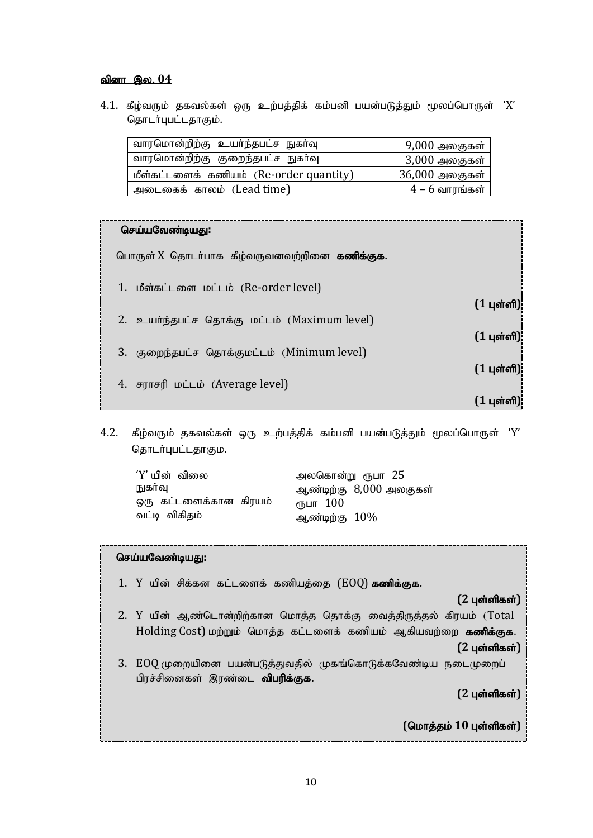#### <u>வினா இல. 04</u>

 $4.1$ . கீழ்வரும் தகவல்கள் ஒரு உற்பத்திக் கம்பனி பயன்படுத்தும் மூலப்பொருள்  $'X'$ தொடர்புபட்டதாகும்.

| வாரமொன்றிற்கு உயர்ந்தபட்ச நுகர்வு       | 9,000 அலகுகள்  |
|-----------------------------------------|----------------|
| வாரமொன்றிற்கு குறைந்தபட்ச நுகா்வு       | 3,000 அலகுகள்  |
| மீள்கட்டளைக் கணியம் (Re-order quantity) | 36,000 அலகுகள் |
| அடைகைக் காலம் (Lead time)               | $4-6$ வாரங்கள் |

| $(1 \text{ } \mu \text{sin} \text{sin})$        |
|-------------------------------------------------|
| $(1 \text{ } \mu \text{sin} \text{sin} \theta)$ |
|                                                 |
| $(1 \text{ } \mu \text{ and } \text{)}$         |
| ( 1 பள்ளி                                       |
|                                                 |

 $4.2$ . கீழ்வரும் தகவல்கள் ஒரு உற்பத்திக் கம்பனி பயன்படுத்தும் மூலப்பொருள் 'Y' தொடர்புபட்டதாகும.

| 'Y' யின்  விலை         | அலகொன்று ரூபா 25        |
|------------------------|-------------------------|
| நுகாவு                 | ஆண்டிற்கு 8,000 அலகுகள் |
| ஒரு கட்டளைக்கான கிரயம் | ரூபா 100                |
| வட்டி விகிதம்          | ஆண்டிற்கு $10\%$        |

#### செய்யவேண்டியது:

- 1. Y யின் சிக்கன கட்டளைக் கணியத்தை  $(EOQ)$  கணிக்குக.
- $(2 \text{ } \mu \text{sin} \text{sin} \text{sin})$ 2. Y யின் ஆண்டொன்றிற்கான மொத்த தொக்கு வைத்திருத்தல் கிரயம் (Total Holding Cost) மற்றும் மொத்த கட்டளைக் கணியம் ஆகியவற்றை கணிக்குக.  $(2 \text{ } \mu \text{sin} \text{sin} \text{sin})$ 3. EOQ முறையினை பயன்படுத்துவதில் முகங்கொடுக்கவேண்டிய நடைமுறைப் பிரச்சினைகள் இரண்டை **விபரிக்குக**.

 $(2 \text{ L} \cdot \hat{\text{S}})$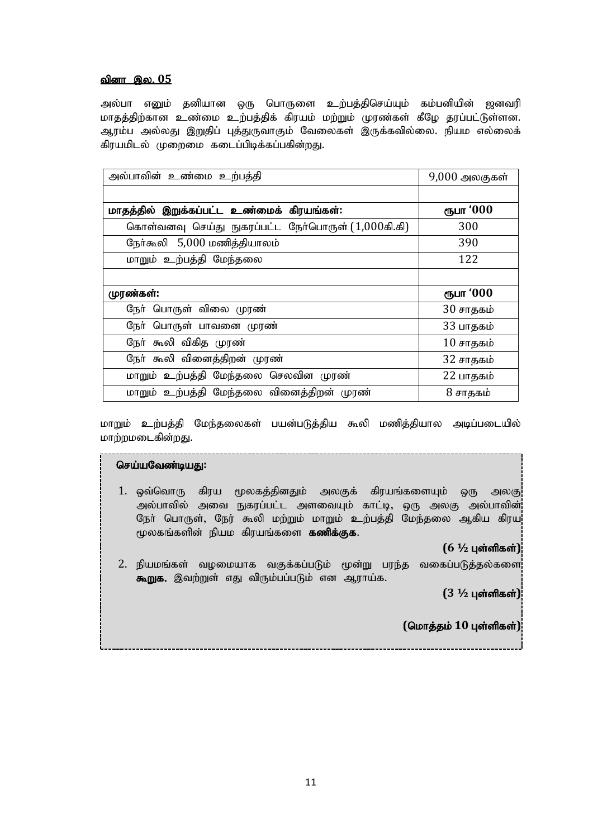#### <u>வினா இல. 05</u>

அல்பா எனும் தனியான ஒரு பொருளை உற்பத்திசெய்யும் கம்பனியின் ஜனவரி மாதத்திற்கான உண்மை உற்பத்திக் கிரயம் மற்றும் முரண்கள் கீழே தரப்பட்டுள்ளன. ஆரம்ப அல்லது இறுதிப் புத்துருவாகும் வேலைகள் இருக்கவில்லை. நியம எல்லைக் கிரயமிடல் முறைமை கடைப்பிடிக்கப்பகின்றது.

| அல்பாவின் உண்மை உற்பத்தி                           | 9,000 அலகுகள்     |
|----------------------------------------------------|-------------------|
|                                                    |                   |
| மாதத்தில் இறுக்கப்பட்ட உண்மைக் கிரயங்கள்:          | ரூபா '000         |
| கொள்வனவு செய்து நுகரப்பட்ட நேர்பொருள் (1,000கி.கி) | 300               |
| நேர்கூலி 5,000 மணித்தியாலம்                        | 390               |
| மாறும் உற்பத்தி மேந்தலை                            | 122               |
|                                                    |                   |
| முரண்கள்:                                          | ரூபா '000         |
| நேர் பொருள் விலை முரண்                             | 30 சாதகம்         |
| நேர் பொருள் பாவனை முரண்                            | 33 பாதகம்         |
| நோ் கூலி விகித முரண்                               | $10 \sigma$ ாதகம் |
| நோ் கூலி வினைத்திறன் முரண்                         | 32 சாதகம்         |
| மாறும் உற்பத்தி மேந்தலை செலவின முரண்               | 22 பாதகம்         |
| மாறும் உற்பத்தி மேந்தலை வினைத்திறன் முரண்          | 8 சாதகம்          |

மாறும் உற்பத்தி மேந்தலைகள் பயன்படுத்திய கூலி மணித்தியால அடிப்படையில் மாற்றமடைகின்றது.

#### செய்யவேண்டியது:

1. ஒவ்வொரு கிரய மூலகத்தினதும் அலகுக் கிரயங்களையும் ஒரு அலகு அல்பாவில் அவை நுகரப்பட்ட அளவையும் காட்டி, ஒரு அலகு அல்பாவின்¦ நோ் பொருள், நேர் கூலி மற்றும் மாறும் உற்பத்தி மேந்தலை ஆகிய கிரய<mark>்</mark> மூலகங்களின் நியம கிரயங்களை **கணிக்குக.** 

 $(6 \frac{1}{2} \text{ L} \sin \theta \sin \theta)$ 

2. நியமங்கள் வழமையாக வகுக்கப்படும் மூன்று பரந்த வகைப்படுத்தல்களை $\vert$ <mark>கூறுக.</mark> இவற்றுள் எது விரும்பப்படும் என ஆராய்க.

 $(3 \frac{1}{2} \mu)$  புள்ளிகள்)